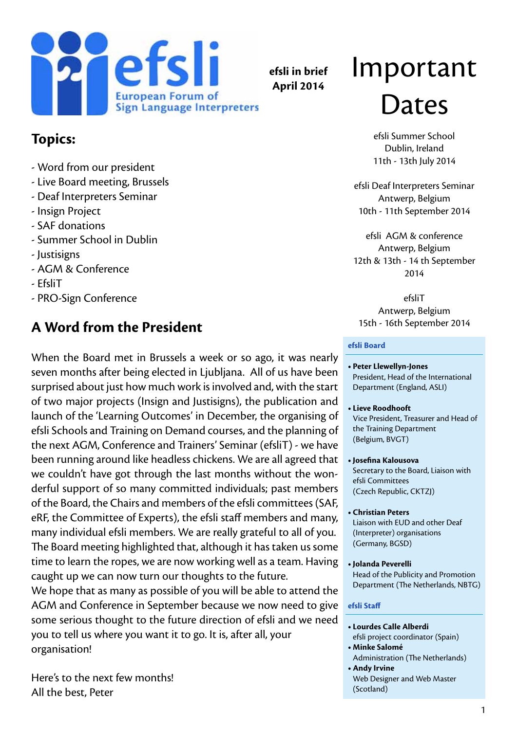

**efsli in brief April 2014**

### **Topics:**

- Word from our president
- Live Board meeting, Brussels
- Deaf Interpreters Seminar
- Insign Project
- SAF donations
- Summer School in Dublin
- Justisigns
- AGM & Conference
- EfsliT
- PRO-Sign Conference

# **A Word from the President**

When the Board met in Brussels a week or so ago, it was nearly seven months after being elected in Ljubljana. All of us have been surprised about just how much work is involved and, with the start of two major projects (Insign and Justisigns), the publication and launch of the 'Learning Outcomes' in December, the organising of efsli Schools and Training on Demand courses, and the planning of the next AGM, Conference and Trainers' Seminar (efsliT) - we have been running around like headless chickens. We are all agreed that we couldn't have got through the last months without the wonderful support of so many committed individuals; past members of the Board, the Chairs and members of the efsli committees (SAF, eRF, the Committee of Experts), the efsli staff members and many, many individual efsli members. We are really grateful to all of you. The Board meeting highlighted that, although it has taken us some time to learn the ropes, we are now working well as a team. Having caught up we can now turn our thoughts to the future.

We hope that as many as possible of you will be able to attend the AGM and Conference in September because we now need to give some serious thought to the future direction of efsli and we need you to tell us where you want it to go. It is, after all, your organisation!

Here's to the next few months! All the best, Peter

# Important Dates

efsli Summer School Dublin, Ireland 11th - 13th July 2014

efsli Deaf Interpreters Seminar Antwerp, Belgium 10th - 11th September 2014

efsli AGM & conference Antwerp, Belgium 12th & 13th - 14 th September 2014

efsliT Antwerp, Belgium 15th - 16th September 2014

#### **efsli Board**

- **• Peter Llewellyn-Jones** President, Head of the International Department (England, ASLI)
- **• Lieve Roodhooft** Vice President, Treasurer and Head of the Training Department (Belgium, BVGT)
- **• Josefina Kalousova** Secretary to the Board, Liaison with efsli Committees (Czech Republic, CKTZJ)
- **• Christian Peters**  Liaison with EUD and other Deaf (Interpreter) organisations (Germany, BGSD)
- **• Jolanda Peverelli** Head of the Publicity and Promotion Department (The Netherlands, NBTG)

#### **efsli Staff**

- **• Lourdes Calle Alberdi** efsli project coordinator (Spain)
- **• Minke Salomé** Administration (The Netherlands)
- **Andy Irvine** Web Designer and Web Master (Scotland)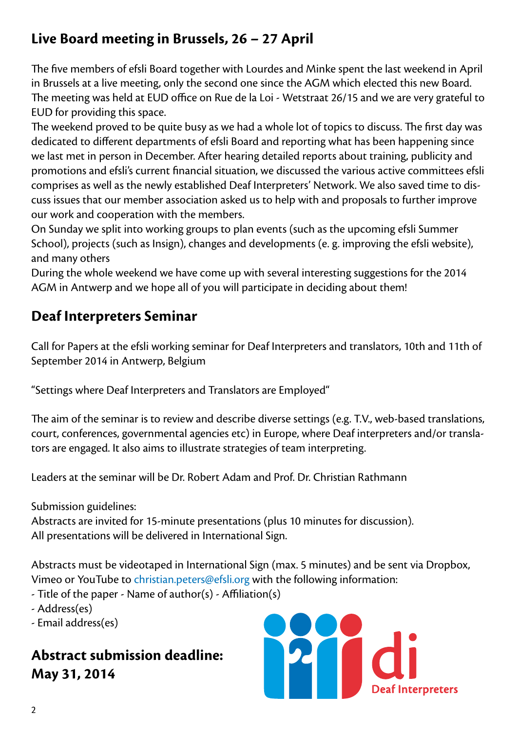# **Live Board meeting in Brussels, 26 – 27 April**

The five members of efsli Board together with Lourdes and Minke spent the last weekend in April in Brussels at a live meeting, only the second one since the AGM which elected this new Board. The meeting was held at EUD office on Rue de la Loi - Wetstraat 26/15 and we are very grateful to EUD for providing this space.

The weekend proved to be quite busy as we had a whole lot of topics to discuss. The first day was dedicated to different departments of efsli Board and reporting what has been happening since we last met in person in December. After hearing detailed reports about training, publicity and promotions and efsli's current financial situation, we discussed the various active committees efsli comprises as well as the newly established Deaf Interpreters' Network. We also saved time to discuss issues that our member association asked us to help with and proposals to further improve our work and cooperation with the members.

On Sunday we split into working groups to plan events (such as the upcoming efsli Summer School), projects (such as Insign), changes and developments (e. g. improving the efsli website), and many others

During the whole weekend we have come up with several interesting suggestions for the 2014 AGM in Antwerp and we hope all of you will participate in deciding about them!

# **Deaf Interpreters Seminar**

Call for Papers at the efsli working seminar for Deaf Interpreters and translators, 10th and 11th of September 2014 in Antwerp, Belgium

"Settings where Deaf Interpreters and Translators are Employed"

The aim of the seminar is to review and describe diverse settings (e.g. T.V., web-based translations, court, conferences, governmental agencies etc) in Europe, where Deaf interpreters and/or translators are engaged. It also aims to illustrate strategies of team interpreting.

Leaders at the seminar will be Dr. Robert Adam and Prof. Dr. Christian Rathmann

Submission guidelines:

Abstracts are invited for 15-minute presentations (plus 10 minutes for discussion). All presentations will be delivered in International Sign.

Abstracts must be videotaped in International Sign (max. 5 minutes) and be sent via Dropbox, Vimeo or YouTube to [christian.peters@efsli.org](mailto:christian.peters@efsli.org) with the following information:

- Title of the paper Name of author(s) Affiliation(s)
- Address(es)
- Email address(es)

# **Abstract submission deadline: May 31, 2014**

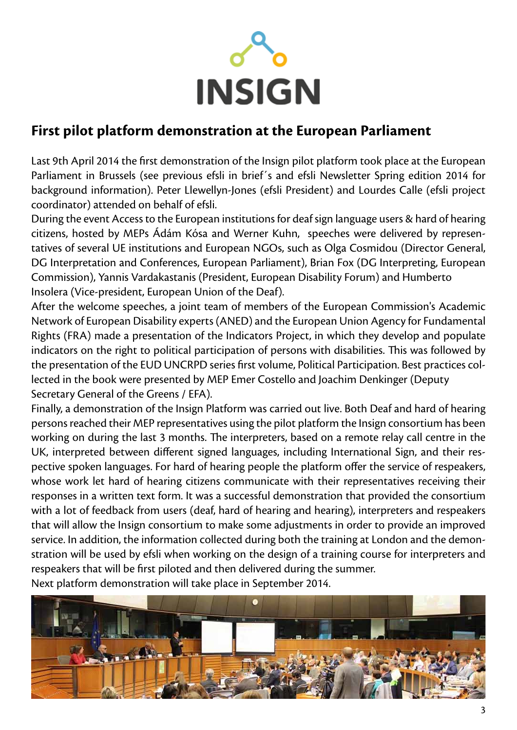

# **First pilot platform demonstration at the European Parliament**

Last 9th April 2014 the first demonstration of the Insign pilot platform took place at the European Parliament in Brussels (see previous efsli in brief´s and efsli Newsletter Spring edition 2014 for background information). Peter Llewellyn-Jones (efsli President) and Lourdes Calle (efsli project coordinator) attended on behalf of efsli.

During the event Access to the European institutions for deaf sign language users & hard of hearing citizens, hosted by MEPs Ádám Kósa and Werner Kuhn, speeches were delivered by representatives of several UE institutions and European NGOs, such as Olga Cosmidou (Director General, DG Interpretation and Conferences, European Parliament), Brian Fox (DG Interpreting, European Commission), Yannis Vardakastanis (President, European Disability Forum) and Humberto Insolera (Vice-president, European Union of the Deaf).

After the welcome speeches, a joint team of members of the European Commission's Academic Network of European Disability experts (ANED) and the European Union Agency for Fundamental Rights (FRA) made a presentation of the Indicators Project, in which they develop and populate indicators on the right to political participation of persons with disabilities. This was followed by the presentation of the EUD UNCRPD series first volume, Political Participation. Best practices collected in the book were presented by MEP Emer Costello and Joachim Denkinger (Deputy Secretary General of the Greens / EFA).

Finally, a demonstration of the Insign Platform was carried out live. Both Deaf and hard of hearing persons reached their MEP representatives using the pilot platform the Insign consortium has been working on during the last 3 months. The interpreters, based on a remote relay call centre in the UK, interpreted between different signed languages, including International Sign, and their respective spoken languages. For hard of hearing people the platform offer the service of respeakers, whose work let hard of hearing citizens communicate with their representatives receiving their responses in a written text form. It was a successful demonstration that provided the consortium with a lot of feedback from users (deaf, hard of hearing and hearing), interpreters and respeakers that will allow the Insign consortium to make some adjustments in order to provide an improved service. In addition, the information collected during both the training at London and the demonstration will be used by efsli when working on the design of a training course for interpreters and respeakers that will be first piloted and then delivered during the summer. Next platform demonstration will take place in September 2014.

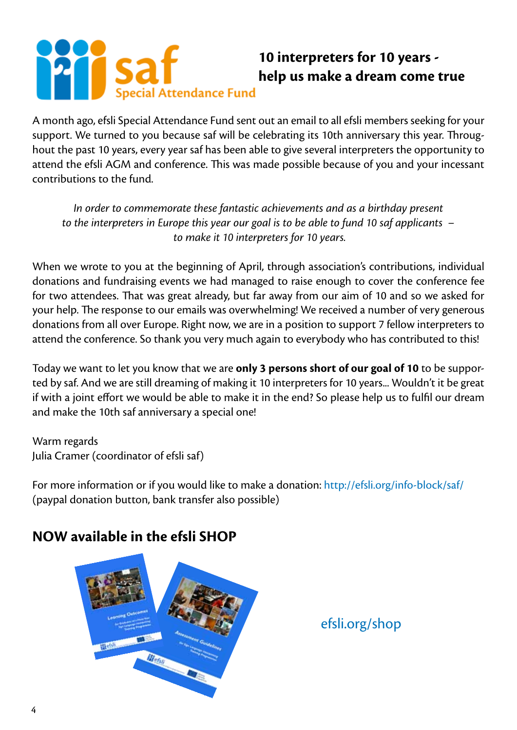# cial Attendance Fund

# **10 interpreters for 10 years help us make a dream come true**

A month ago, efsli Special Attendance Fund sent out an email to all efsli members seeking for your support. We turned to you because saf will be celebrating its 10th anniversary this year. Throughout the past 10 years, every year saf has been able to give several interpreters the opportunity to attend the efsli AGM and conference. This was made possible because of you and your incessant contributions to the fund.

*In order to commemorate these fantastic achievements and as a birthday present to the interpreters in Europe this year our goal is to be able to fund 10 saf applicants – to make it 10 interpreters for 10 years.*

When we wrote to you at the beginning of April, through association's contributions, individual donations and fundraising events we had managed to raise enough to cover the conference fee for two attendees. That was great already, but far away from our aim of 10 and so we asked for your help. The response to our emails was overwhelming! We received a number of very generous donations from all over Europe. Right now, we are in a position to support 7 fellow interpreters to attend the conference. So thank you very much again to everybody who has contributed to this!

Today we want to let you know that we are **only 3 persons short of our goal of 10** to be supported by saf. And we are still dreaming of making it 10 interpreters for 10 years... Wouldn't it be great if with a joint effort we would be able to make it in the end? So please help us to fulfil our dream and make the 10th saf anniversary a special one!

Warm regards Julia Cramer (coordinator of efsli saf)

For more information or if you would like to make a donation:<http://efsli.org/info-block/saf/> (paypal donation button, bank transfer also possible)

# **NOW available in the efsli SHOP**



<efsli.org/shop>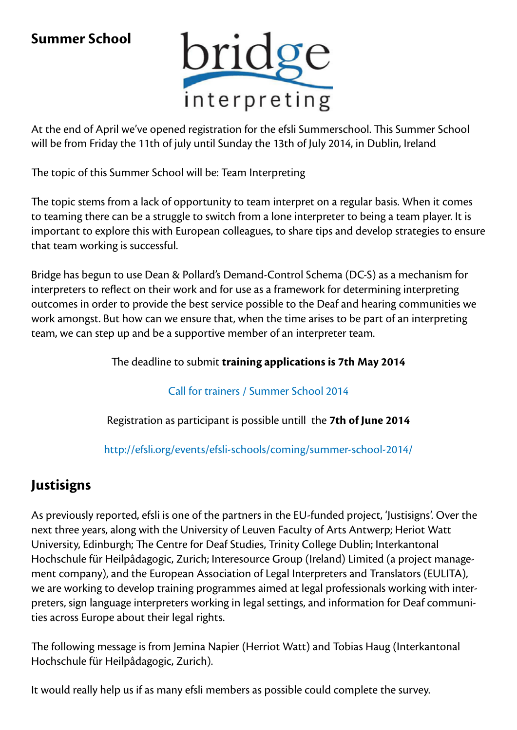# **Summer School**



At the end of April we've opened registration for the efsli Summerschool. This Summer School will be from Friday the 11th of july until Sunday the 13th of July 2014, in Dublin, Ireland

The topic of this Summer School will be: Team Interpreting

The topic stems from a lack of opportunity to team interpret on a regular basis. When it comes to teaming there can be a struggle to switch from a lone interpreter to being a team player. It is important to explore this with European colleagues, to share tips and develop strategies to ensure that team working is successful.

Bridge has begun to use Dean & Pollard's Demand-Control Schema (DC-S) as a mechanism for interpreters to reflect on their work and for use as a framework for determining interpreting outcomes in order to provide the best service possible to the Deaf and hearing communities we work amongst. But how can we ensure that, when the time arises to be part of an interpreting team, we can step up and be a supportive member of an interpreter team.

The deadline to submit **training applications is 7th May 2014**

[Call for trainers / Summer School 2014](http://efsli.org/efsliblu/wp-content/uploads/2014/04/Call-for-trainers-Bridge-Summer-school-2014-v2-2.pdf ) 

Registration as participant is possible untill the **7th of June 2014** 

<http://efsli.org/events/efsli-schools/coming/summer-school-2014/>

# **Justisigns**

As previously reported, efsli is one of the partners in the EU-funded project, 'Justisigns'. Over the next three years, along with the University of Leuven Faculty of Arts Antwerp; Heriot Watt University, Edinburgh; The Centre for Deaf Studies, Trinity College Dublin; Interkantonal Hochschule für Heilpâdagogic, Zurich; Interesource Group (Ireland) Limited (a project management company), and the European Association of Legal Interpreters and Translators (EULITA), we are working to develop training programmes aimed at legal professionals working with interpreters, sign language interpreters working in legal settings, and information for Deaf communities across Europe about their legal rights.

The following message is from Jemina Napier (Herriot Watt) and Tobias Haug (Interkantonal Hochschule für Heilpâdagogic, Zurich).

It would really help us if as many efsli members as possible could complete the survey.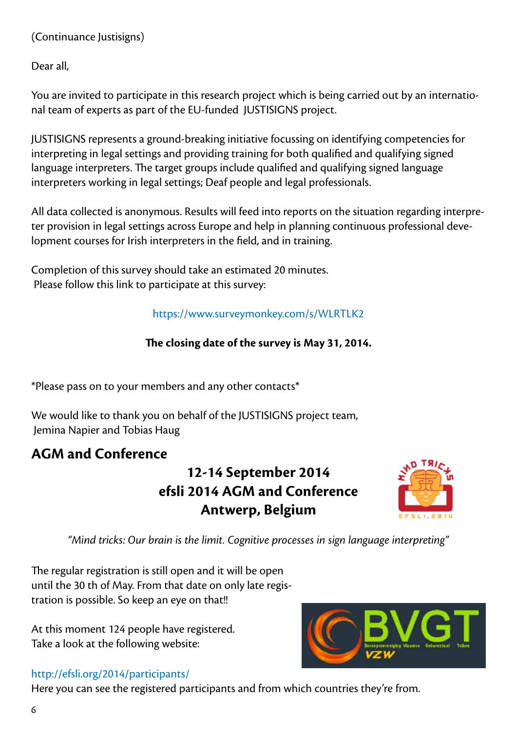#### (Continuance Justisigns)

Dear all,

You are invited to participate in this research project which is being carried out by an international team of experts as part of the EU-funded JUSTISIGNS project.

JUSTISIGNS represents a ground-breaking initiative focussing on identifying competencies for interpreting in legal settings and providing training for both qualified and qualifying signed language interpreters. The target groups include qualified and qualifying signed language interpreters working in legal settings; Deaf people and legal professionals.

All data collected is anonymous. Results will feed into reports on the situation regarding interpreter provision in legal settings across Europe and help in planning continuous professional development courses for Irish interpreters in the field, and in training.

Completion of this survey should take an estimated 20 minutes. Please follow this link to participate at this survey:

#### [https://www.surveymonkey.com/s/WLRTLK2](https://www.surveymonkey.com/s/WLRTLK2 )

#### **The closing date of the survey is May 31, 2014.**

\*Please pass on to your members and any other contacts\*

We would like to thank you on behalf of the JUSTISIGNS project team, Jemina Napier and Tobias Haug

# **AGM and Conference**

**12-14 September 2014 efsli 2014 AGM and Conference Antwerp, Belgium**



*"Mind tricks: Our brain is the limit. Cognitive processes in sign language interpreting"*

The regular registration is still open and it will be open until the 30 th of May. From that date on only late registration is possible. So keep an eye on that!!

At this moment 124 people have registered. Take a look at the following website:



#### [http://efsli.org/2014/participants/](http://efsli.org/2014/participants/ )

Here you can see the registered participants and from which countries they're from.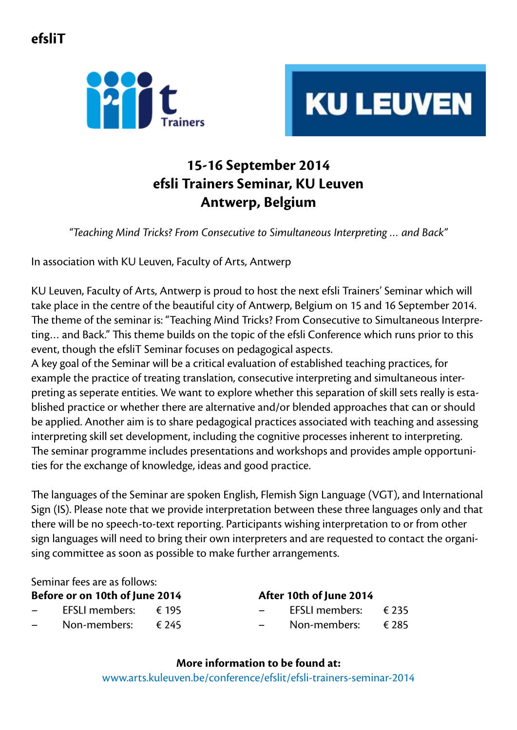**efsliT**





# **15-16 September 2014 efsli Trainers Seminar, KU Leuven Antwerp, Belgium**

*"Teaching Mind Tricks? From Consecutive to Simultaneous Interpreting … and Back"*

In association with KU Leuven, Faculty of Arts, Antwerp

KU Leuven, Faculty of Arts, Antwerp is proud to host the next efsli Trainers' Seminar which will take place in the centre of the beautiful city of Antwerp, Belgium on 15 and 16 September 2014. The theme of the seminar is: "Teaching Mind Tricks? From Consecutive to Simultaneous Interpreting… and Back." This theme builds on the topic of the efsli Conference which runs prior to this event, though the efsliT Seminar focuses on pedagogical aspects.

A key goal of the Seminar will be a critical evaluation of established teaching practices, for example the practice of treating translation, consecutive interpreting and simultaneous interpreting as seperate entities. We want to explore whether this separation of skill sets really is established practice or whether there are alternative and/or blended approaches that can or should be applied. Another aim is to share pedagogical practices associated with teaching and assessing interpreting skill set development, including the cognitive processes inherent to interpreting. The seminar programme includes presentations and workshops and provides ample opportunities for the exchange of knowledge, ideas and good practice.

The languages of the Seminar are spoken English, Flemish Sign Language (VGT), and International Sign (IS). Please note that we provide interpretation between these three languages only and that there will be no speech-to-text reporting. Participants wishing interpretation to or from other sign languages will need to bring their own interpreters and are requested to contact the organising committee as soon as possible to make further arrangements.

Seminar fees are as follows:

**Before or on 10th of June 2014**

- $-$  EFSLI members: € 195
- Non-members: € 245

#### **After 10th of June 2014**

– EFSLI members: € 235 – Non-members: € 285